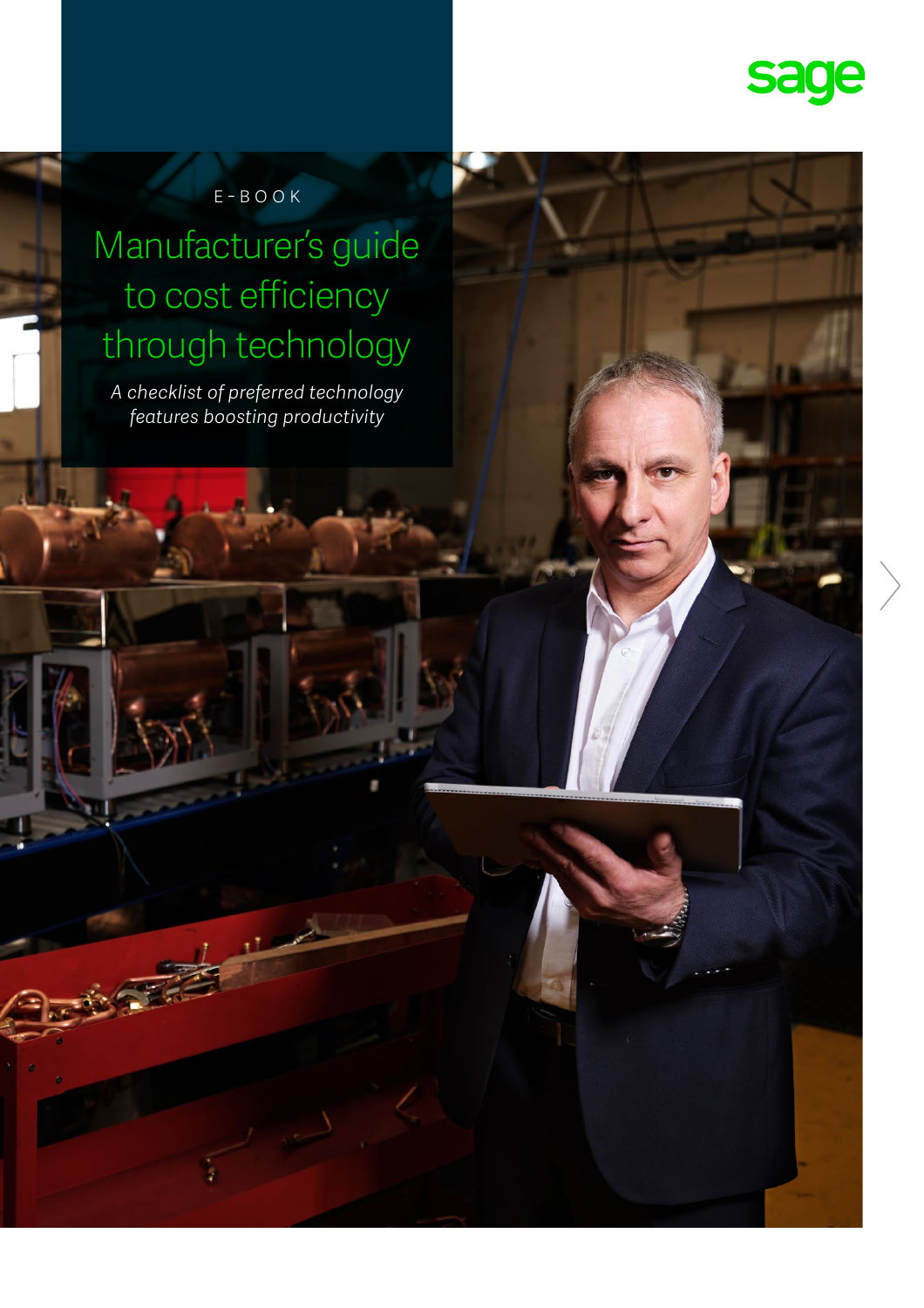

#### E-book

#### Manufacturer's guide to cost efficiency through technology

*A checklist of preferred technology features boosting productivity*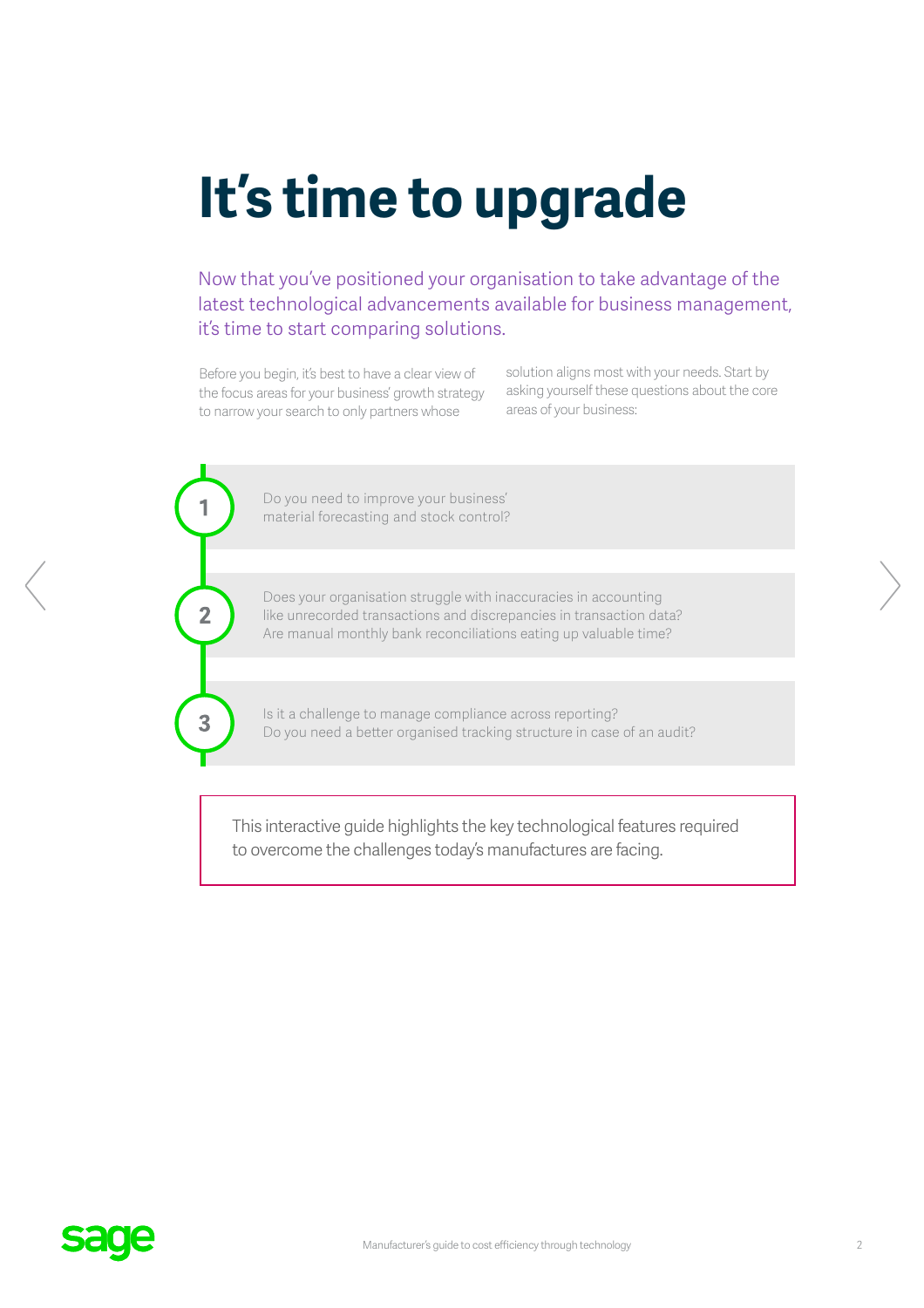# **It's time to upgrade**

Now that you've positioned your organisation to take advantage of the latest technological advancements available for business management, it's time to start comparing solutions.

Before you begin, it's best to have a clear view of the focus areas for your business' growth strategy to narrow your search to only partners whose

1

 $\overline{2}$ 

3

solution aligns most with your needs. Start by asking yourself these questions about the core areas of your business:

Do you need to improve your business' material forecasting and stock control?

Does your organisation struggle with inaccuracies in accounting like unrecorded transactions and discrepancies in transaction data? Are manual monthly bank reconciliations eating up valuable time?

Is it a challenge to manage compliance across reporting? Do you need a better organised tracking structure in case of an audit?

This interactive guide highlights the key technological features required to overcome the challenges today's manufactures are facing.

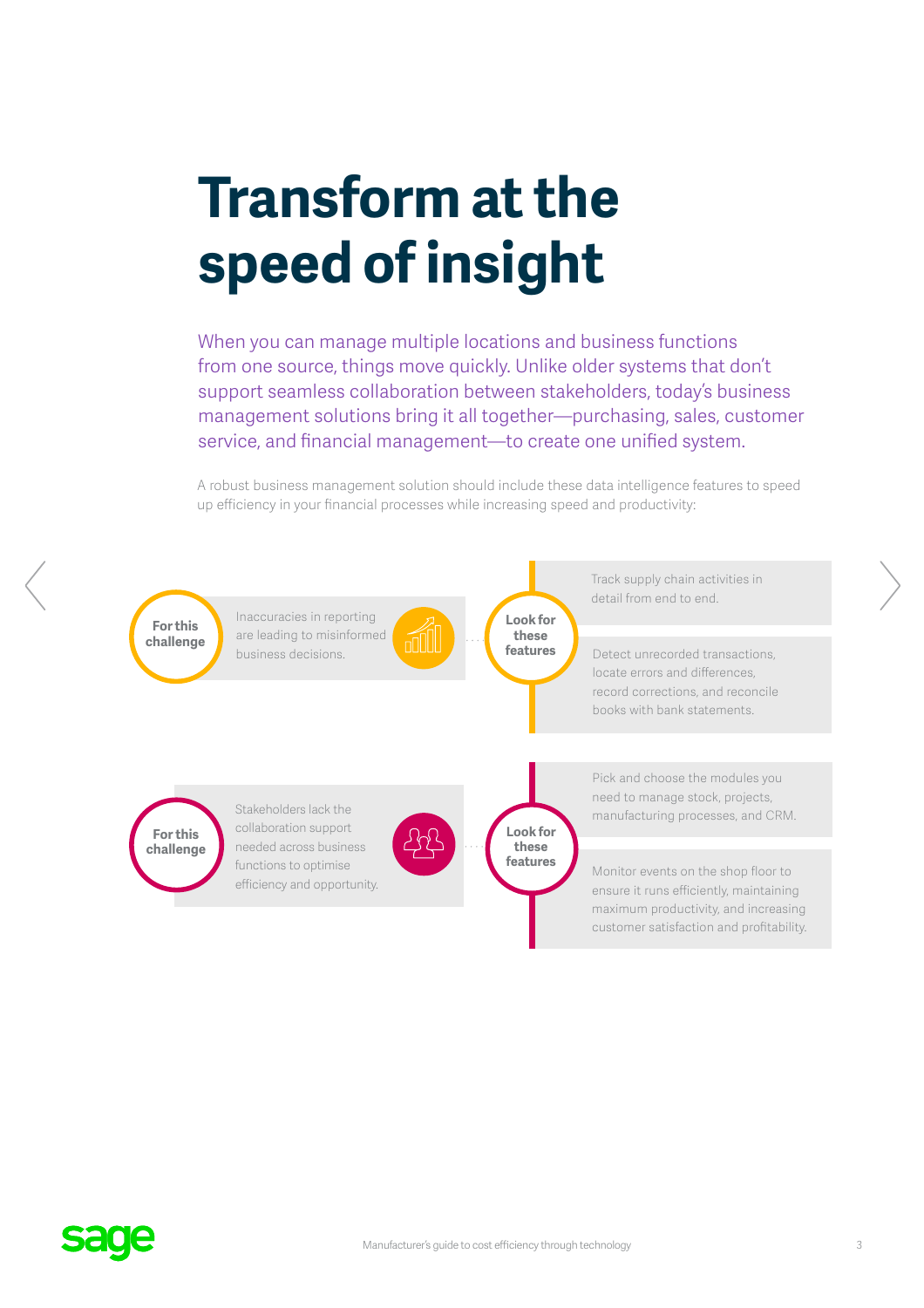### **Transform at the speed of insight**

When you can manage multiple locations and business functions from one source, things move quickly. Unlike older systems that don't support seamless collaboration between stakeholders, today's business management solutions bring it all together—purchasing, sales, customer service, and financial management—to create one unified system.

A robust business management solution should include these data intelligence features to speed up efficiency in your financial processes while increasing speed and productivity:

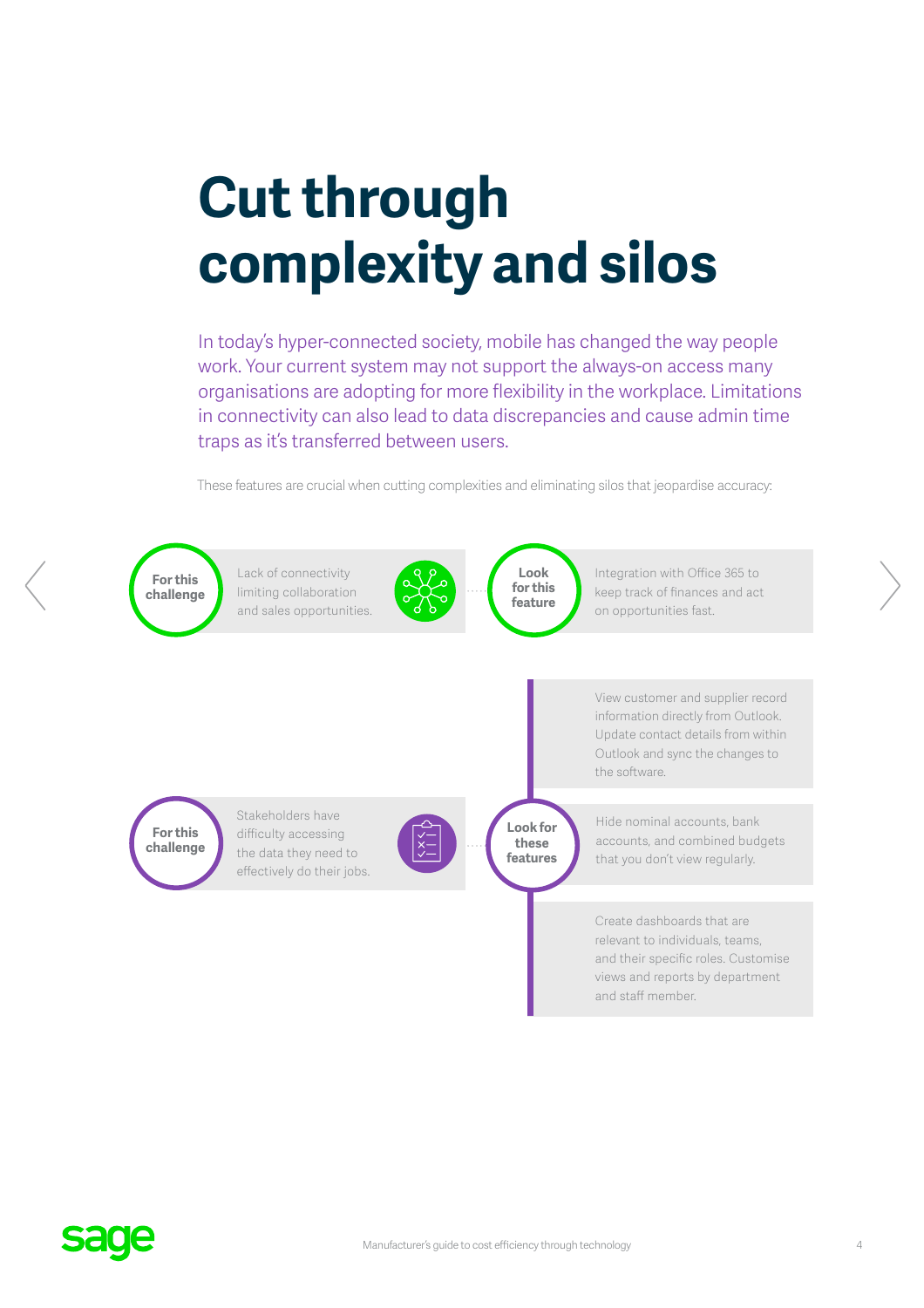## **Cut through complexity and silos**

In today's hyper-connected society, mobile has changed the way people work. Your current system may not support the always-on access many organisations are adopting for more flexibility in the workplace. Limitations in connectivity can also lead to data discrepancies and cause admin time traps as it's transferred between users.

These features are crucial when cutting complexities and eliminating silos that jeopardise accuracy:



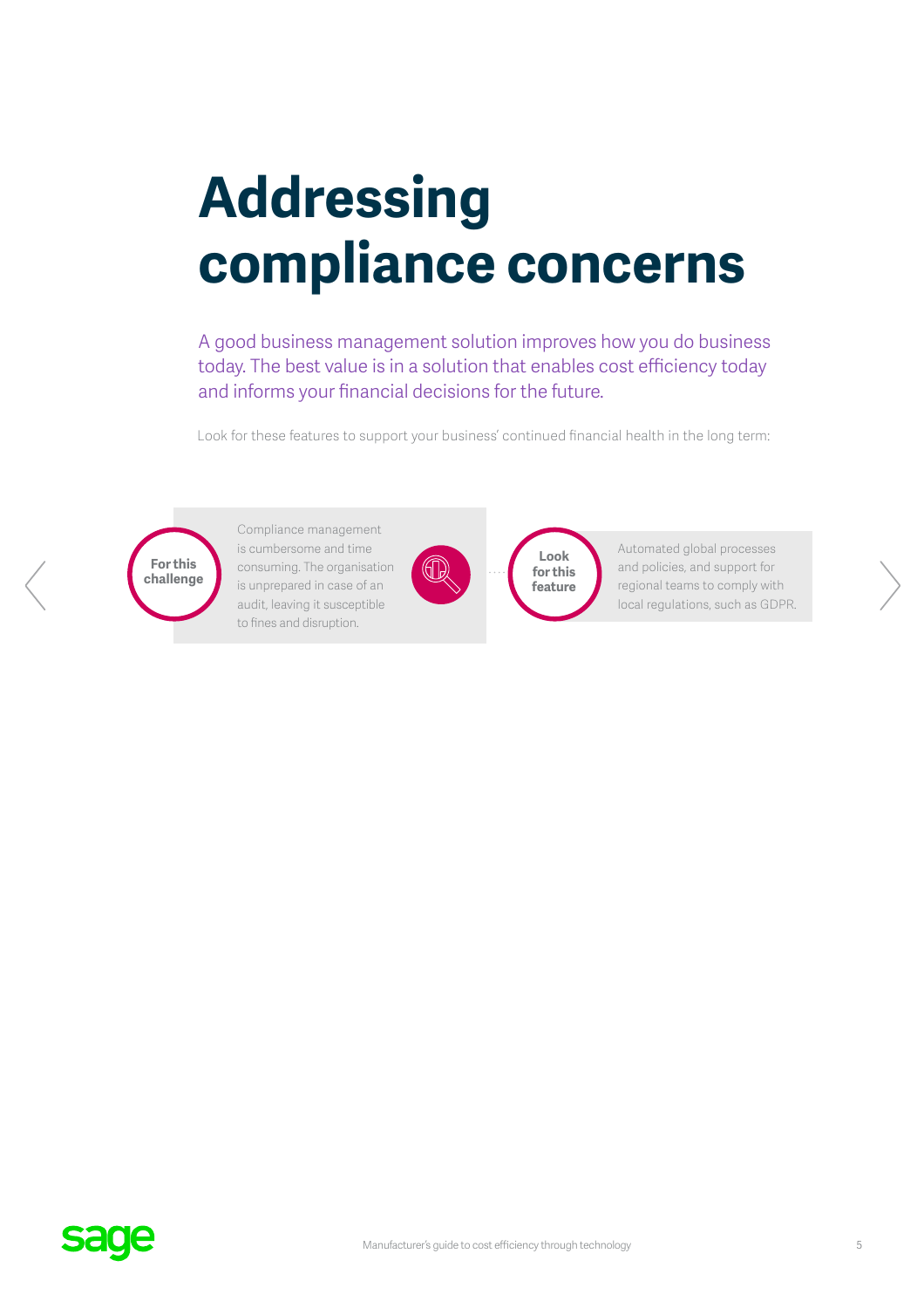## **Addressing compliance concerns**

A good business management solution improves how you do business today. The best value is in a solution that enables cost efficiency today and informs your financial decisions for the future.

Look for these features to support your business' continued financial health in the long term:



Compliance management is cumbersome and time consuming. The organisation is unprepared in case of an audit, leaving it susceptible to fines and disruption.



**Look for this feature**

Automated global processes and policies, and support for regional teams to comply with local regulations, such as GDPR.

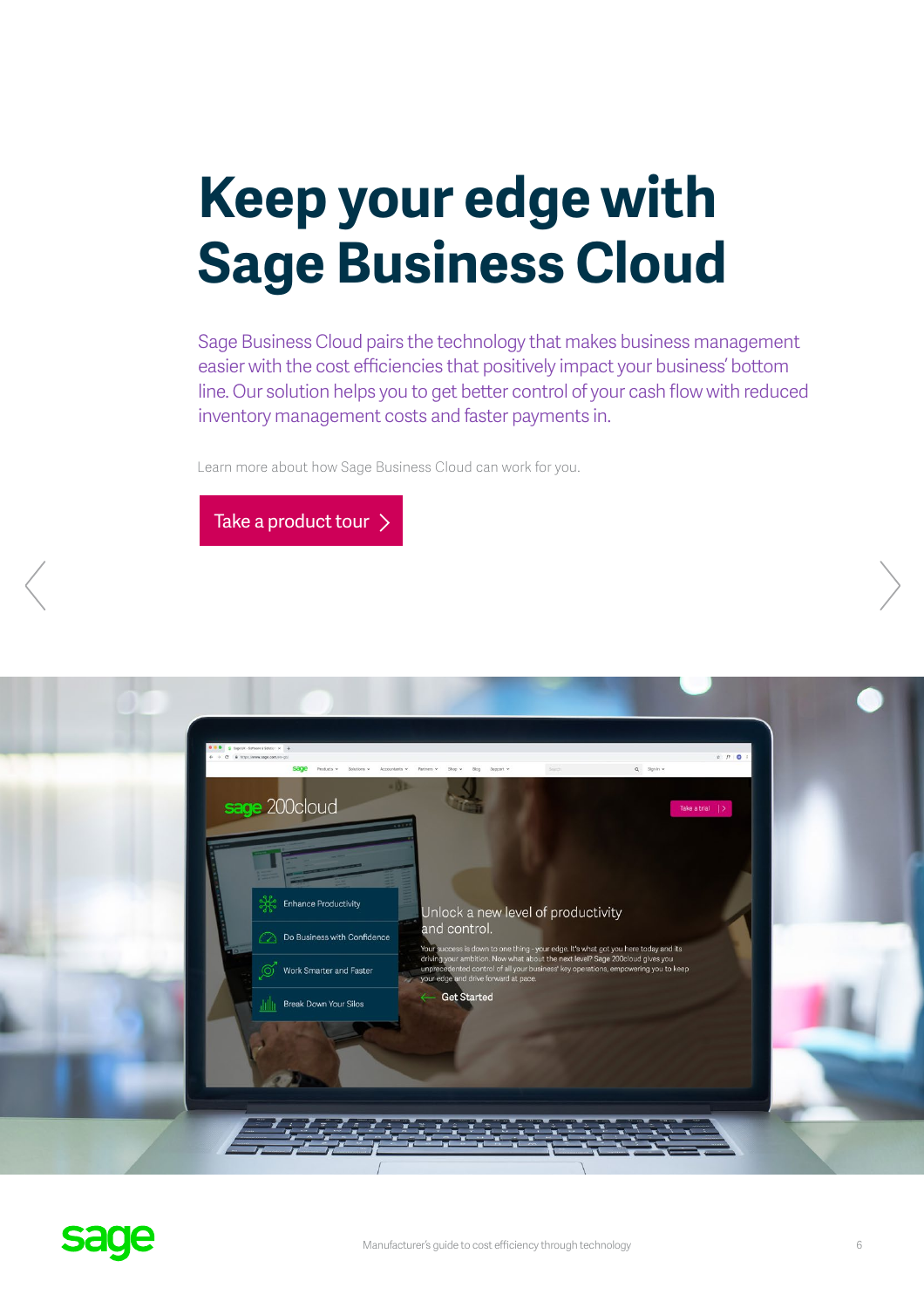## **Keep your edge with Sage Business Cloud**

Sage Business Cloud pairs the technology that makes business management easier with the cost efficiencies that positively impact your business' bottom line. Our solution helps you to get better control of your cash flow with reduced inventory management costs and faster payments in.

Learn more about how Sage Business Cloud can work for you.